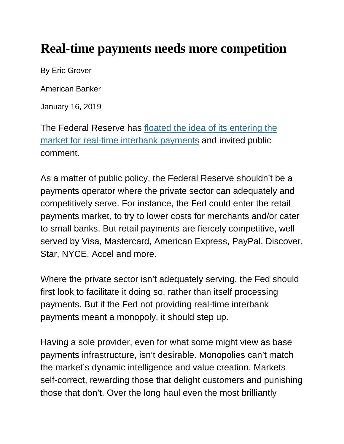## **Real-time payments needs more competition**

By Eric Grover

American Banker

January 16, 2019

The Federal Reserve has [floated the idea of its entering the](https://www.govinfo.gov/content/pkg/FR-2018-11-15/pdf/2018-24667.pdf)  [market for real-time interbank payments](https://www.govinfo.gov/content/pkg/FR-2018-11-15/pdf/2018-24667.pdf) and invited public comment.

As a matter of public policy, the Federal Reserve shouldn't be a payments operator where the private sector can adequately and competitively serve. For instance, the Fed could enter the retail payments market, to try to lower costs for merchants and/or cater to small banks. But retail payments are fiercely competitive, well served by Visa, Mastercard, American Express, PayPal, Discover, Star, NYCE, Accel and more.

Where the private sector isn't adequately serving, the Fed should first look to facilitate it doing so, rather than itself processing payments. But if the Fed not providing real-time interbank payments meant a monopoly, it should step up.

Having a sole provider, even for what some might view as base payments infrastructure, isn't desirable. Monopolies can't match the market's dynamic intelligence and value creation. Markets self-correct, rewarding those that delight customers and punishing those that don't. Over the long haul even the most brilliantly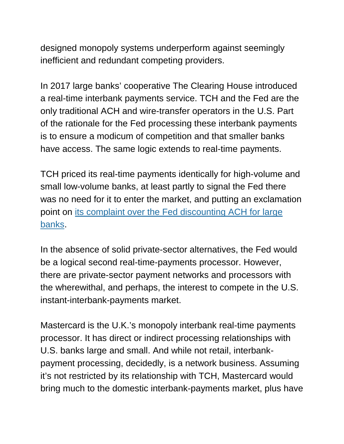designed monopoly systems underperform against seemingly inefficient and redundant competing providers.

In 2017 large banks' cooperative The Clearing House introduced a real-time interbank payments service. TCH and the Fed are the only traditional ACH and wire-transfer operators in the U.S. Part of the rationale for the Fed processing these interbank payments is to ensure a modicum of competition and that smaller banks have access. The same logic extends to real-time payments.

TCH priced its real-time payments identically for high-volume and small low-volume banks, at least partly to signal the Fed there was no need for it to enter the market, and putting an exclamation point on [its complaint over the Fed discounting ACH for large](https://www.gao.gov/assets/680/679388.pdf)  [banks.](https://www.gao.gov/assets/680/679388.pdf)

In the absence of solid private-sector alternatives, the Fed would be a logical second real-time-payments processor. However, there are private-sector payment networks and processors with the wherewithal, and perhaps, the interest to compete in the U.S. instant-interbank-payments market.

Mastercard is the U.K.'s monopoly interbank real-time payments processor. It has direct or indirect processing relationships with U.S. banks large and small. And while not retail, interbankpayment processing, decidedly, is a network business. Assuming it's not restricted by its relationship with TCH, Mastercard would bring much to the domestic interbank-payments market, plus have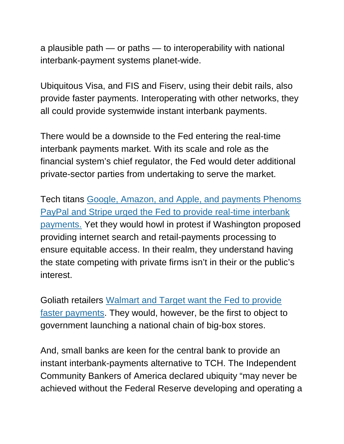a plausible path — or paths — to interoperability with national interbank-payment systems planet-wide.

Ubiquitous Visa, and FIS and Fiserv, using their debit rails, also provide faster payments. Interoperating with other networks, they all could provide systemwide instant interbank payments.

There would be a downside to the Fed entering the real-time interbank payments market. With its scale and role as the financial system's chief regulator, the Fed would deter additional private-sector parties from undertaking to serve the market.

Tech titans [Google, Amazon, and Apple, and payments Phenoms](https://s22127.pcdn.co/wp-content/uploads/2018/12/fin-fed-real-time-payments-docket-op-1625-final.pdf)  [PayPal and Stripe urged the Fed to provide real-time interbank](https://s22127.pcdn.co/wp-content/uploads/2018/12/fin-fed-real-time-payments-docket-op-1625-final.pdf)  [payments.](https://s22127.pcdn.co/wp-content/uploads/2018/12/fin-fed-real-time-payments-docket-op-1625-final.pdf) Yet they would howl in protest if Washington proposed providing internet search and retail-payments processing to ensure equitable access. In their realm, they understand having the state competing with private firms isn't in their or the public's interest.

Goliath retailers [Walmart and Target want the Fed to provide](https://www.wsj.com/articles/for-walmart-and-target-the-fed-holds-the-keys-to-faster-payments-1544097601)  [faster payments.](https://www.wsj.com/articles/for-walmart-and-target-the-fed-holds-the-keys-to-faster-payments-1544097601) They would, however, be the first to object to government launching a national chain of big-box stores.

And, small banks are keen for the central bank to provide an instant interbank-payments alternative to TCH. The Independent Community Bankers of America declared ubiquity "may never be achieved without the Federal Reserve developing and operating a